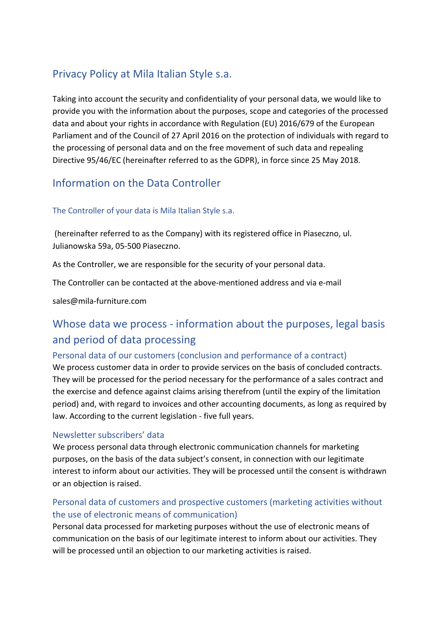# Privacy Policy at Mila Italian Style s.a.

Taking into account the security and confidentiality of your personal data, we would like to provide you with the information about the purposes, scope and categories of the processed data and about your rights in accordance with Regulation (EU) 2016/679 of the European Parliament and of the Council of 27 April 2016 on the protection of individuals with regard to the processing of personal data and on the free movement of such data and repealing Directive 95/46/EC (hereinafter referred to as the GDPR), in force since 25 May 2018.

# Information on the Data Controller

## The Controller of your data is Mila Italian Style s.a.

 (hereinafter referred to as the Company) with its registered office in Piaseczno, ul. Julianowska 59a, 05-500 Piaseczno.

As the Controller, we are responsible for the security of your personal data.

The Controller can be contacted at the above-mentioned address and via e-mail

[sales@mila-furniture.com](mailto:%20sales@mila-furniture.com)

# Whose data we process - information about the purposes, legal basis and period of data processing

## Personal data of our customers (conclusion and performance of a contract)

We process customer data in order to provide services on the basis of concluded contracts. They will be processed for the period necessary for the performance of a sales contract and the exercise and defence against claims arising therefrom (until the expiry of the limitation period) and, with regard to invoices and other accounting documents, as long as required by law. According to the current legislation - five full years.

#### Newsletter subscribers' data

We process personal data through electronic communication channels for marketing purposes, on the basis of the data subject's consent, in connection with our legitimate interest to inform about our activities. They will be processed until the consent is withdrawn or an objection is raised.

# Personal data of customers and prospective customers (marketing activities without the use of electronic means of communication)

Personal data processed for marketing purposes without the use of electronic means of communication on the basis of our legitimate interest to inform about our activities. They will be processed until an objection to our marketing activities is raised.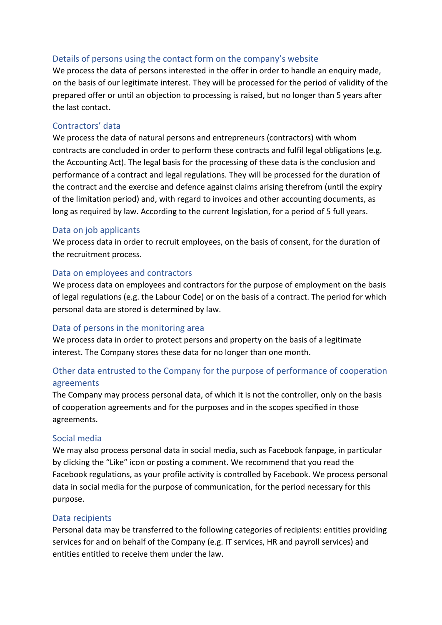### Details of persons using the contact form on the company's website

We process the data of persons interested in the offer in order to handle an enquiry made, on the basis of our legitimate interest. They will be processed for the period of validity of the prepared offer or until an objection to processing is raised, but no longer than 5 years after the last contact.

#### Contractors' data

We process the data of natural persons and entrepreneurs (contractors) with whom contracts are concluded in order to perform these contracts and fulfil legal obligations (e.g. the Accounting Act). The legal basis for the processing of these data is the conclusion and performance of a contract and legal regulations. They will be processed for the duration of the contract and the exercise and defence against claims arising therefrom (until the expiry of the limitation period) and, with regard to invoices and other accounting documents, as long as required by law. According to the current legislation, for a period of 5 full years.

#### Data on job applicants

We process data in order to recruit employees, on the basis of consent, for the duration of the recruitment process.

#### Data on employees and contractors

We process data on employees and contractors for the purpose of employment on the basis of legal regulations (e.g. the Labour Code) or on the basis of a contract. The period for which personal data are stored is determined by law.

#### Data of persons in the monitoring area

We process data in order to protect persons and property on the basis of a legitimate interest. The Company stores these data for no longer than one month.

# Other data entrusted to the Company for the purpose of performance of cooperation agreements

The Company may process personal data, of which it is not the controller, only on the basis of cooperation agreements and for the purposes and in the scopes specified in those agreements.

#### Social media

We may also process personal data in social media, such as Facebook fanpage, in particular by clicking the "Like" icon or posting a comment. We recommend that you read the Facebook regulations, as your profile activity is controlled by Facebook. We process personal data in social media for the purpose of communication, for the period necessary for this purpose.

#### Data recipients

Personal data may be transferred to the following categories of recipients: entities providing services for and on behalf of the Company (e.g. IT services, HR and payroll services) and entities entitled to receive them under the law.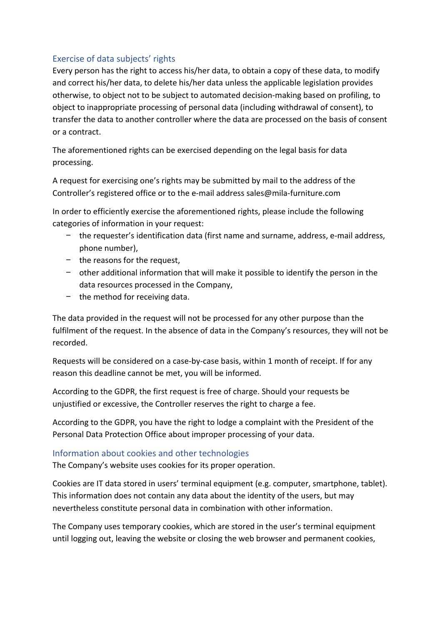## Exercise of data subjects' rights

Every person has the right to access his/her data, to obtain a copy of these data, to modify and correct his/her data, to delete his/her data unless the applicable legislation provides otherwise, to object not to be subject to automated decision-making based on profiling, to object to inappropriate processing of personal data (including withdrawal of consent), to transfer the data to another controller where the data are processed on the basis of consent or a contract.

The aforementioned rights can be exercised depending on the legal basis for data processing.

A request for exercising one's rights may be submitted by mail to the address of the Controller's registered office or to the e-mail address [sales@mila-furniture.com](mailto:%20sales@mila-furniture.com)

In order to efficiently exercise the aforementioned rights, please include the following categories of information in your request:

- − the requester's identification data (first name and surname, address, e-mail address, phone number),
- − the reasons for the request,
- − other additional information that will make it possible to identify the person in the data resources processed in the Company,
- − the method for receiving data.

The data provided in the request will not be processed for any other purpose than the fulfilment of the request. In the absence of data in the Company's resources, they will not be recorded.

Requests will be considered on a case-by-case basis, within 1 month of receipt. If for any reason this deadline cannot be met, you will be informed.

According to the GDPR, the first request is free of charge. Should your requests be unjustified or excessive, the Controller reserves the right to charge a fee.

According to the GDPR, you have the right to lodge a complaint with the President of the Personal Data Protection Office about improper processing of your data.

## Information about cookies and other technologies

The Company's website uses cookies for its proper operation.

Cookies are IT data stored in users' terminal equipment (e.g. computer, smartphone, tablet). This information does not contain any data about the identity of the users, but may nevertheless constitute personal data in combination with other information.

The Company uses temporary cookies, which are stored in the user's terminal equipment until logging out, leaving the website or closing the web browser and permanent cookies,